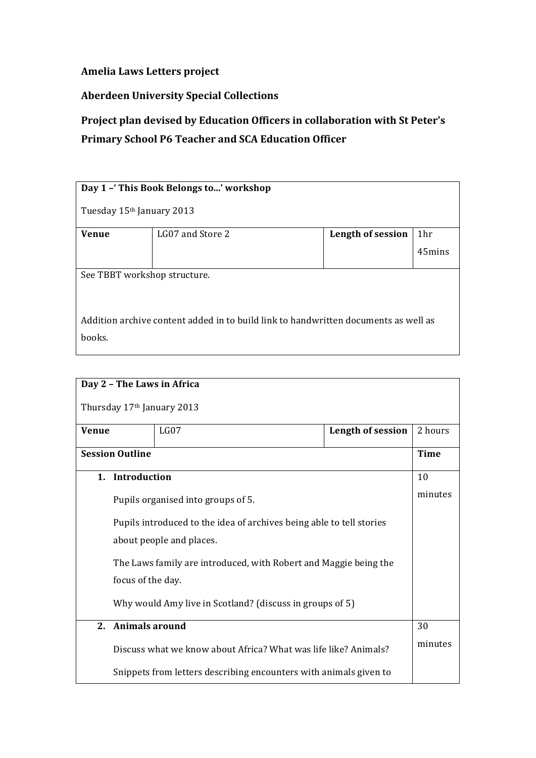## **Amelia Laws Letters project**

## **Aberdeen University Special Collections**

## Project plan devised by Education Officers in collaboration with St Peter's **Primary School P6 Teacher and SCA Education Officer**

| Day 1 - This Book Belongs to' workshop                                                        |                  |                   |        |
|-----------------------------------------------------------------------------------------------|------------------|-------------------|--------|
| Tuesday 15th January 2013                                                                     |                  |                   |        |
| <b>Venue</b>                                                                                  | LG07 and Store 2 | Length of session | 1hr    |
|                                                                                               |                  |                   | 45mins |
| See TBBT workshop structure.                                                                  |                  |                   |        |
| Addition archive content added in to build link to handwritten documents as well as<br>books. |                  |                   |        |

| Day 2 - The Laws in Africa                                        |                                           |                                                                      |         |             |
|-------------------------------------------------------------------|-------------------------------------------|----------------------------------------------------------------------|---------|-------------|
|                                                                   |                                           | Thursday 17 <sup>th</sup> January 2013                               |         |             |
|                                                                   | LG07<br><b>Venue</b><br>Length of session |                                                                      | 2 hours |             |
|                                                                   | <b>Session Outline</b>                    |                                                                      |         | <b>Time</b> |
|                                                                   | 1. Introduction                           |                                                                      |         | 10          |
|                                                                   |                                           | Pupils organised into groups of 5.                                   |         | minutes     |
|                                                                   |                                           | Pupils introduced to the idea of archives being able to tell stories |         |             |
| about people and places.                                          |                                           |                                                                      |         |             |
| The Laws family are introduced, with Robert and Maggie being the  |                                           |                                                                      |         |             |
| focus of the day.                                                 |                                           |                                                                      |         |             |
| Why would Amy live in Scotland? (discuss in groups of 5)          |                                           |                                                                      |         |             |
| Animals around<br>2 <sup>1</sup>                                  |                                           |                                                                      | 30      |             |
|                                                                   |                                           | Discuss what we know about Africa? What was life like? Animals?      |         | minutes     |
| Snippets from letters describing encounters with animals given to |                                           |                                                                      |         |             |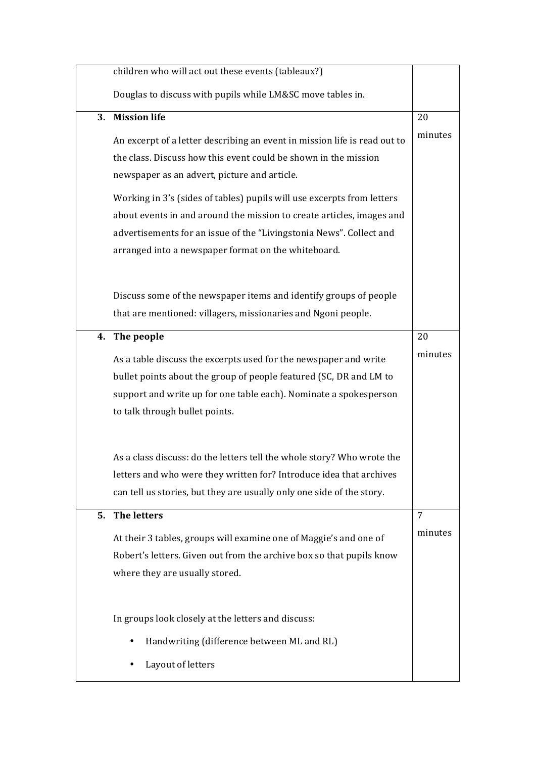|    | children who will act out these events (tableaux?)                        |                |
|----|---------------------------------------------------------------------------|----------------|
|    | Douglas to discuss with pupils while LM&SC move tables in.                |                |
| 3. | <b>Mission life</b>                                                       | 20             |
|    | An excerpt of a letter describing an event in mission life is read out to | minutes        |
|    | the class. Discuss how this event could be shown in the mission           |                |
|    | newspaper as an advert, picture and article.                              |                |
|    | Working in 3's (sides of tables) pupils will use excerpts from letters    |                |
|    | about events in and around the mission to create articles, images and     |                |
|    | advertisements for an issue of the "Livingstonia News". Collect and       |                |
|    | arranged into a newspaper format on the whiteboard.                       |                |
|    |                                                                           |                |
|    | Discuss some of the newspaper items and identify groups of people         |                |
|    | that are mentioned: villagers, missionaries and Ngoni people.             |                |
| 4. | The people                                                                | 20             |
|    |                                                                           | minutes        |
|    | As a table discuss the excerpts used for the newspaper and write          |                |
|    | bullet points about the group of people featured (SC, DR and LM to        |                |
|    | support and write up for one table each). Nominate a spokesperson         |                |
|    | to talk through bullet points.                                            |                |
|    |                                                                           |                |
|    | As a class discuss: do the letters tell the whole story? Who wrote the    |                |
|    | letters and who were they written for? Introduce idea that archives       |                |
|    | can tell us stories, but they are usually only one side of the story.     |                |
| 5. | <b>The letters</b>                                                        | $\overline{7}$ |
|    | At their 3 tables, groups will examine one of Maggie's and one of         | minutes        |
|    | Robert's letters. Given out from the archive box so that pupils know      |                |
|    | where they are usually stored.                                            |                |
|    |                                                                           |                |
|    |                                                                           |                |
|    | In groups look closely at the letters and discuss:                        |                |
|    | Handwriting (difference between ML and RL)                                |                |
|    | Layout of letters                                                         |                |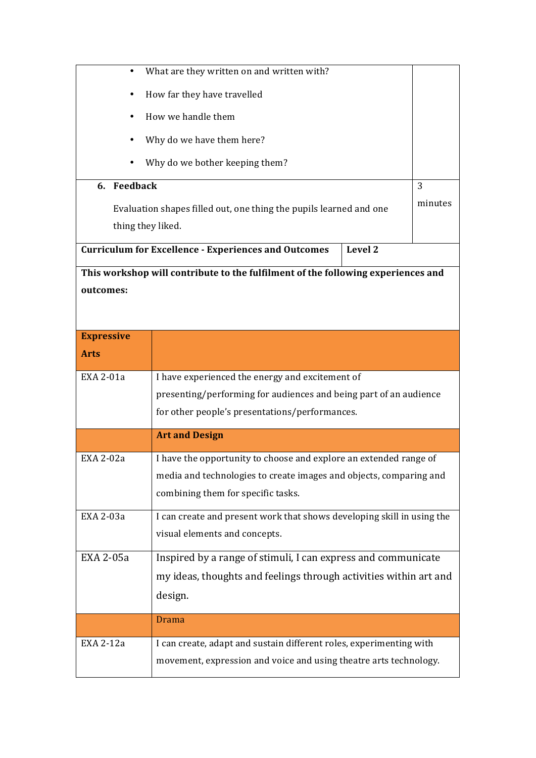|                           | What are they written on and written with?                                       |         |  |
|---------------------------|----------------------------------------------------------------------------------|---------|--|
|                           | How far they have travelled                                                      |         |  |
| How we handle them        |                                                                                  |         |  |
| Why do we have them here? |                                                                                  |         |  |
| ٠                         | Why do we bother keeping them?                                                   |         |  |
|                           |                                                                                  |         |  |
| 6. Feedback               |                                                                                  | 3       |  |
|                           | Evaluation shapes filled out, one thing the pupils learned and one               | minutes |  |
| thing they liked.         |                                                                                  |         |  |
|                           | Level 2<br><b>Curriculum for Excellence - Experiences and Outcomes</b>           |         |  |
|                           | This workshop will contribute to the fulfilment of the following experiences and |         |  |
| outcomes:                 |                                                                                  |         |  |
|                           |                                                                                  |         |  |
|                           |                                                                                  |         |  |
| <b>Expressive</b>         |                                                                                  |         |  |
| <b>Arts</b>               |                                                                                  |         |  |
| EXA 2-01a                 | I have experienced the energy and excitement of                                  |         |  |
|                           | presenting/performing for audiences and being part of an audience                |         |  |
|                           | for other people's presentations/performances.                                   |         |  |
|                           | <b>Art and Design</b>                                                            |         |  |
| EXA 2-02a                 | I have the opportunity to choose and explore an extended range of                |         |  |
|                           | media and technologies to create images and objects, comparing and               |         |  |
|                           | combining them for specific tasks.                                               |         |  |
| EXA 2-03a                 | I can create and present work that shows developing skill in using the           |         |  |
|                           | visual elements and concepts.                                                    |         |  |
| EXA 2-05a                 | Inspired by a range of stimuli, I can express and communicate                    |         |  |
|                           | my ideas, thoughts and feelings through activities within art and                |         |  |
| design.                   |                                                                                  |         |  |
|                           |                                                                                  |         |  |
|                           | <b>Drama</b>                                                                     |         |  |
| EXA 2-12a                 | I can create, adapt and sustain different roles, experimenting with              |         |  |
|                           | movement, expression and voice and using theatre arts technology.                |         |  |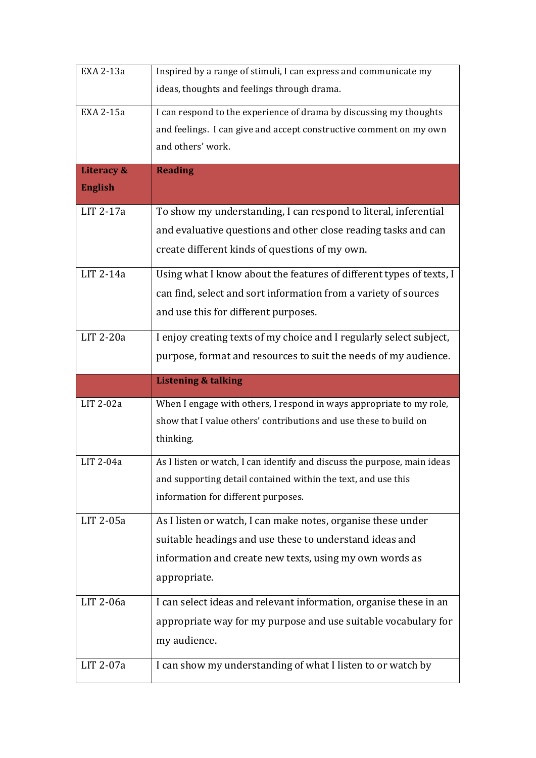| EXA 2-13a      | Inspired by a range of stimuli, I can express and communicate my         |  |
|----------------|--------------------------------------------------------------------------|--|
|                | ideas, thoughts and feelings through drama.                              |  |
| EXA 2-15a      | I can respond to the experience of drama by discussing my thoughts       |  |
|                | and feelings. I can give and accept constructive comment on my own       |  |
|                | and others' work.                                                        |  |
| Literacy &     | <b>Reading</b>                                                           |  |
| <b>English</b> |                                                                          |  |
| LIT 2-17a      | To show my understanding, I can respond to literal, inferential          |  |
|                | and evaluative questions and other close reading tasks and can           |  |
|                | create different kinds of questions of my own.                           |  |
| LIT 2-14a      | Using what I know about the features of different types of texts, I      |  |
|                | can find, select and sort information from a variety of sources          |  |
|                | and use this for different purposes.                                     |  |
| LIT 2-20a      | I enjoy creating texts of my choice and I regularly select subject,      |  |
|                | purpose, format and resources to suit the needs of my audience.          |  |
|                |                                                                          |  |
|                |                                                                          |  |
|                | <b>Listening &amp; talking</b>                                           |  |
| LIT 2-02a      | When I engage with others, I respond in ways appropriate to my role,     |  |
|                | show that I value others' contributions and use these to build on        |  |
|                | thinking.                                                                |  |
| LIT 2-04a      | As I listen or watch, I can identify and discuss the purpose, main ideas |  |
|                | and supporting detail contained within the text, and use this            |  |
|                | information for different purposes.                                      |  |
| LIT 2-05a      | As I listen or watch, I can make notes, organise these under             |  |
|                | suitable headings and use these to understand ideas and                  |  |
|                | information and create new texts, using my own words as                  |  |
|                | appropriate.                                                             |  |
| LIT 2-06a      | I can select ideas and relevant information, organise these in an        |  |
|                | appropriate way for my purpose and use suitable vocabulary for           |  |
|                | my audience.                                                             |  |
| LIT 2-07a      | I can show my understanding of what I listen to or watch by              |  |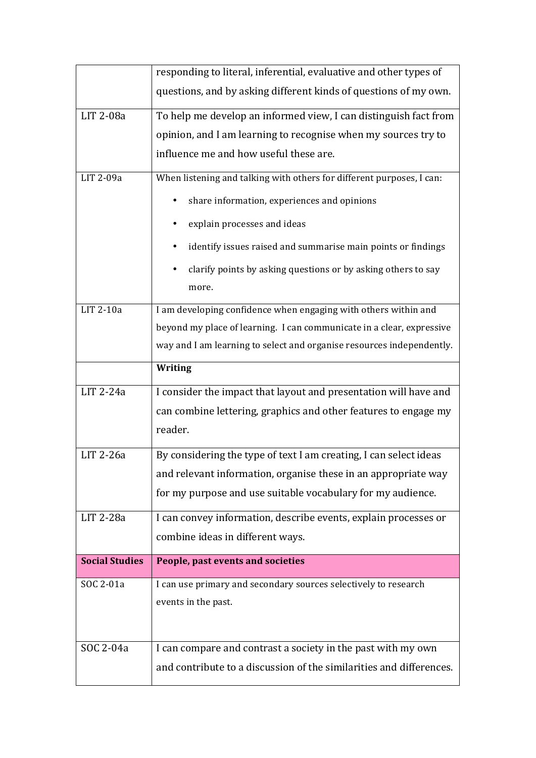|                       | responding to literal, inferential, evaluative and other types of                                                                              |  |  |
|-----------------------|------------------------------------------------------------------------------------------------------------------------------------------------|--|--|
|                       | questions, and by asking different kinds of questions of my own.                                                                               |  |  |
| LIT 2-08a             | To help me develop an informed view, I can distinguish fact from                                                                               |  |  |
|                       | opinion, and I am learning to recognise when my sources try to                                                                                 |  |  |
|                       | influence me and how useful these are.                                                                                                         |  |  |
| LIT 2-09a             | When listening and talking with others for different purposes, I can:                                                                          |  |  |
|                       | share information, experiences and opinions                                                                                                    |  |  |
|                       | explain processes and ideas                                                                                                                    |  |  |
|                       | identify issues raised and summarise main points or findings                                                                                   |  |  |
|                       | clarify points by asking questions or by asking others to say<br>more.                                                                         |  |  |
| LIT 2-10a             | I am developing confidence when engaging with others within and                                                                                |  |  |
|                       |                                                                                                                                                |  |  |
|                       | beyond my place of learning. I can communicate in a clear, expressive<br>way and I am learning to select and organise resources independently. |  |  |
|                       | Writing                                                                                                                                        |  |  |
| LIT 2-24a             | I consider the impact that layout and presentation will have and                                                                               |  |  |
|                       | can combine lettering, graphics and other features to engage my                                                                                |  |  |
|                       | reader.                                                                                                                                        |  |  |
| LIT 2-26a             | By considering the type of text I am creating, I can select ideas                                                                              |  |  |
|                       | and relevant information, organise these in an appropriate way                                                                                 |  |  |
|                       | for my purpose and use suitable vocabulary for my audience.                                                                                    |  |  |
| LIT 2-28a             | I can convey information, describe events, explain processes or                                                                                |  |  |
|                       | combine ideas in different ways.                                                                                                               |  |  |
| <b>Social Studies</b> | People, past events and societies                                                                                                              |  |  |
| SOC 2-01a             | I can use primary and secondary sources selectively to research                                                                                |  |  |
|                       | events in the past.                                                                                                                            |  |  |
|                       |                                                                                                                                                |  |  |
| SOC 2-04a             | I can compare and contrast a society in the past with my own                                                                                   |  |  |
|                       | and contribute to a discussion of the similarities and differences.                                                                            |  |  |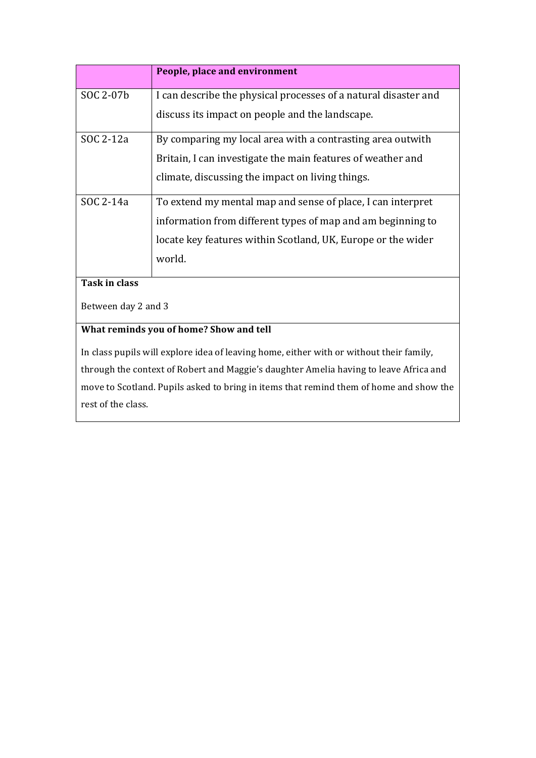|                     | People, place and environment                                                           |  |  |  |
|---------------------|-----------------------------------------------------------------------------------------|--|--|--|
| SOC 2-07b           | I can describe the physical processes of a natural disaster and                         |  |  |  |
|                     | discuss its impact on people and the landscape.                                         |  |  |  |
| SOC 2-12a           | By comparing my local area with a contrasting area outwith                              |  |  |  |
|                     | Britain, I can investigate the main features of weather and                             |  |  |  |
|                     | climate, discussing the impact on living things.                                        |  |  |  |
| SOC 2-14a           | To extend my mental map and sense of place, I can interpret                             |  |  |  |
|                     | information from different types of map and am beginning to                             |  |  |  |
|                     | locate key features within Scotland, UK, Europe or the wider                            |  |  |  |
|                     | world.                                                                                  |  |  |  |
| Task in class       |                                                                                         |  |  |  |
| Between day 2 and 3 |                                                                                         |  |  |  |
|                     | What reminds you of home? Show and tell                                                 |  |  |  |
|                     | In class pupils will explore idea of leaving home, either with or without their family, |  |  |  |
|                     | through the context of Robert and Maggie's daughter Amelia having to leave Africa and   |  |  |  |

through the context of Robert and Maggie's daughter Amelia having to leave Africa and move to Scotland. Pupils asked to bring in items that remind them of home and show the rest of the class.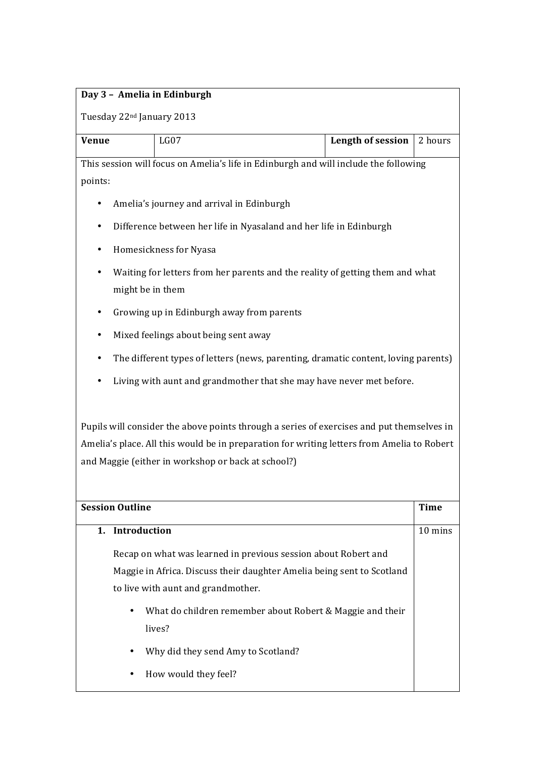## **Day 3 - Amelia in Edinburgh**

Tuesday 22<sup>nd</sup> January 2013

| <b>Venue</b> | LG07 | <b>Length of session</b> 2 hours |
|--------------|------|----------------------------------|
|              |      |                                  |

This session will focus on Amelia's life in Edinburgh and will include the following points:

- Amelia's journey and arrival in Edinburgh
- Difference between her life in Nyasaland and her life in Edinburgh
- Homesickness for Nyasa
- Waiting for letters from her parents and the reality of getting them and what might be in them
- Growing up in Edinburgh away from parents
- Mixed feelings about being sent away
- The different types of letters (news, parenting, dramatic content, loving parents)
- Living with aunt and grandmother that she may have never met before.

Pupils will consider the above points through a series of exercises and put themselves in Amelia's place. All this would be in preparation for writing letters from Amelia to Robert and Maggie (either in workshop or back at school?)

| <b>Session Outline</b>                                                 | <b>Time</b> |
|------------------------------------------------------------------------|-------------|
| 1. Introduction                                                        | 10 mins     |
| Recap on what was learned in previous session about Robert and         |             |
| Maggie in Africa. Discuss their daughter Amelia being sent to Scotland |             |
| to live with aunt and grand mother.                                    |             |
| What do children remember about Robert & Maggie and their<br>$\bullet$ |             |
| lives?                                                                 |             |
| Why did they send Amy to Scotland?<br>٠                                |             |
| How would they feel?<br>٠                                              |             |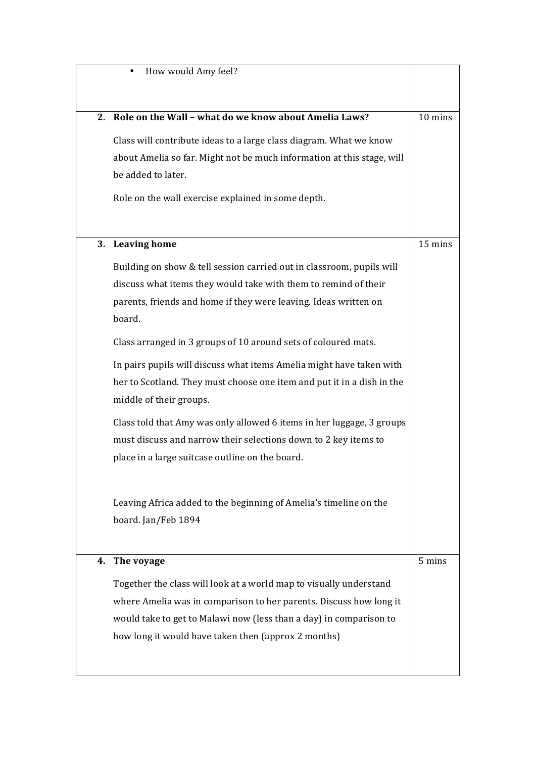|    | How would Amy feel?                                                    |         |
|----|------------------------------------------------------------------------|---------|
|    |                                                                        |         |
|    | 2. Role on the Wall - what do we know about Amelia Laws?               | 10 mins |
|    | Class will contribute ideas to a large class diagram. What we know     |         |
|    | about Amelia so far. Might not be much information at this stage, will |         |
|    | be added to later.                                                     |         |
|    | Role on the wall exercise explained in some depth.                     |         |
|    |                                                                        |         |
|    | 3. Leaving home                                                        | 15 mins |
|    | Building on show & tell session carried out in classroom, pupils will  |         |
|    | discuss what items they would take with them to remind of their        |         |
|    | parents, friends and home if they were leaving. Ideas written on       |         |
|    | board.                                                                 |         |
|    | Class arranged in 3 groups of 10 around sets of coloured mats.         |         |
|    | In pairs pupils will discuss what items Amelia might have taken with   |         |
|    | her to Scotland. They must choose one item and put it in a dish in the |         |
|    | middle of their groups.                                                |         |
|    | Class told that Amy was only allowed 6 items in her luggage, 3 groups  |         |
|    | must discuss and narrow their selections down to 2 key items to        |         |
|    | place in a large suitcase outline on the board.                        |         |
|    |                                                                        |         |
|    | Leaving Africa added to the beginning of Amelia's timeline on the      |         |
|    | board. Jan/Feb 1894                                                    |         |
|    |                                                                        |         |
| 4. | The voyage                                                             | 5 mins  |
|    | Together the class will look at a world map to visually understand     |         |
|    | where Amelia was in comparison to her parents. Discuss how long it     |         |
|    | would take to get to Malawi now (less than a day) in comparison to     |         |
|    | how long it would have taken then (approx 2 months)                    |         |
|    |                                                                        |         |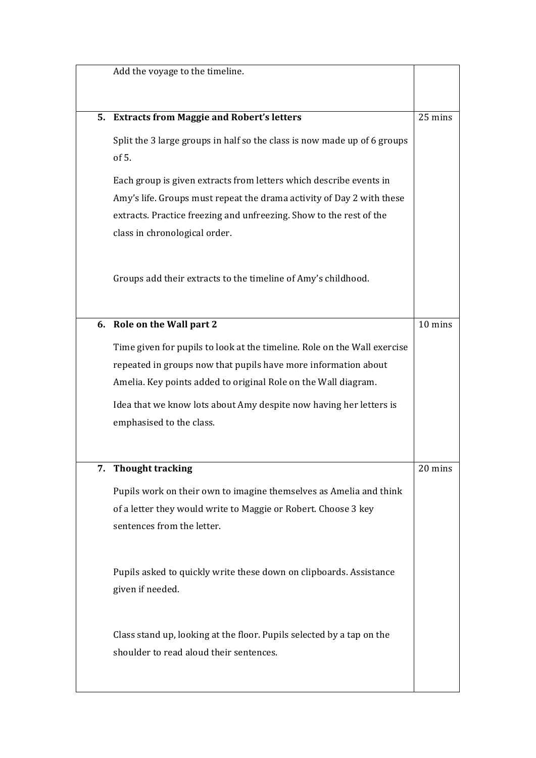| Add the voyage to the timeline.                                                                      |         |
|------------------------------------------------------------------------------------------------------|---------|
|                                                                                                      |         |
| 5. Extracts from Maggie and Robert's letters                                                         | 25 mins |
| Split the 3 large groups in half so the class is now made up of 6 groups                             |         |
| of 5.                                                                                                |         |
|                                                                                                      |         |
| Each group is given extracts from letters which describe events in                                   |         |
| Amy's life. Groups must repeat the drama activity of Day 2 with these                                |         |
| extracts. Practice freezing and unfreezing. Show to the rest of the<br>class in chronological order. |         |
|                                                                                                      |         |
|                                                                                                      |         |
| Groups add their extracts to the timeline of Amy's childhood.                                        |         |
|                                                                                                      |         |
| 6. Role on the Wall part 2                                                                           | 10 mins |
|                                                                                                      |         |
| Time given for pupils to look at the timeline. Role on the Wall exercise                             |         |
| repeated in groups now that pupils have more information about                                       |         |
| Amelia. Key points added to original Role on the Wall diagram.                                       |         |
| Idea that we know lots about Amy despite now having her letters is                                   |         |
| emphasised to the class.                                                                             |         |
|                                                                                                      |         |
| 7. Thought tracking                                                                                  | 20 mins |
| Pupils work on their own to imagine themselves as Amelia and think                                   |         |
| of a letter they would write to Maggie or Robert. Choose 3 key                                       |         |
| sentences from the letter.                                                                           |         |
|                                                                                                      |         |
|                                                                                                      |         |
| Pupils asked to quickly write these down on clipboards. Assistance                                   |         |
| given if needed.                                                                                     |         |
|                                                                                                      |         |
| Class stand up, looking at the floor. Pupils selected by a tap on the                                |         |
| shoulder to read aloud their sentences.                                                              |         |
|                                                                                                      |         |
|                                                                                                      |         |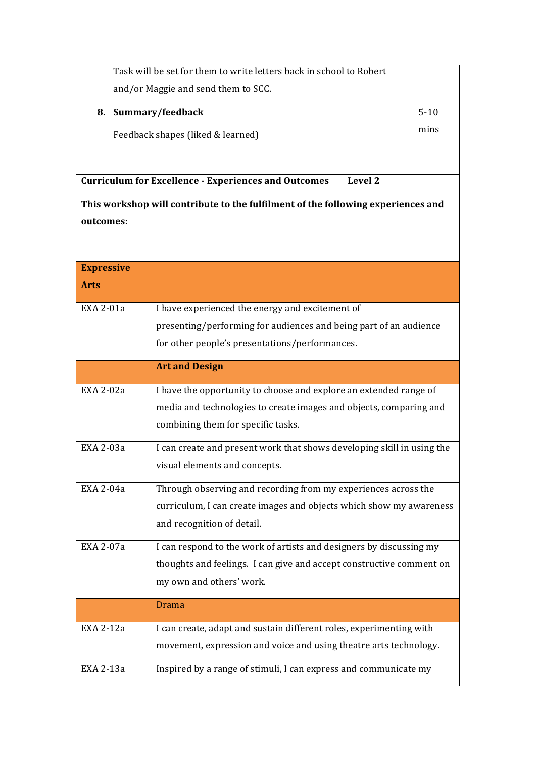| Task will be set for them to write letters back in school to Robert |                                                                                                   |         |          |
|---------------------------------------------------------------------|---------------------------------------------------------------------------------------------------|---------|----------|
| and/or Maggie and send them to SCC.                                 |                                                                                                   |         |          |
| 8. Summary/feedback                                                 |                                                                                                   |         | $5 - 10$ |
|                                                                     | Feedback shapes (liked & learned)                                                                 |         | mins     |
|                                                                     |                                                                                                   |         |          |
|                                                                     |                                                                                                   |         |          |
|                                                                     | <b>Curriculum for Excellence - Experiences and Outcomes</b>                                       | Level 2 |          |
|                                                                     | This workshop will contribute to the fulfilment of the following experiences and                  |         |          |
| outcomes:                                                           |                                                                                                   |         |          |
|                                                                     |                                                                                                   |         |          |
| <b>Expressive</b>                                                   |                                                                                                   |         |          |
| <b>Arts</b>                                                         |                                                                                                   |         |          |
| EXA 2-01a                                                           | I have experienced the energy and excitement of                                                   |         |          |
|                                                                     | presenting/performing for audiences and being part of an audience                                 |         |          |
|                                                                     | for other people's presentations/performances.                                                    |         |          |
| <b>Art and Design</b>                                               |                                                                                                   |         |          |
| <b>EXA 2-02a</b>                                                    | I have the opportunity to choose and explore an extended range of                                 |         |          |
|                                                                     | media and technologies to create images and objects, comparing and                                |         |          |
|                                                                     | combining them for specific tasks.                                                                |         |          |
| EXA 2-03a                                                           | I can create and present work that shows developing skill in using the                            |         |          |
|                                                                     | visual elements and concepts.                                                                     |         |          |
| EXA 2-04a                                                           | Through observing and recording from my experiences across the                                    |         |          |
|                                                                     |                                                                                                   |         |          |
|                                                                     | curriculum, I can create images and objects which show my awareness<br>and recognition of detail. |         |          |
| EXA 2-07a                                                           |                                                                                                   |         |          |
|                                                                     | I can respond to the work of artists and designers by discussing my                               |         |          |
|                                                                     | thoughts and feelings. I can give and accept constructive comment on<br>my own and others' work.  |         |          |
|                                                                     |                                                                                                   |         |          |
|                                                                     | <b>Drama</b>                                                                                      |         |          |
| EXA 2-12a                                                           | I can create, adapt and sustain different roles, experimenting with                               |         |          |
|                                                                     | movement, expression and voice and using theatre arts technology.                                 |         |          |
| EXA 2-13a                                                           | Inspired by a range of stimuli, I can express and communicate my                                  |         |          |